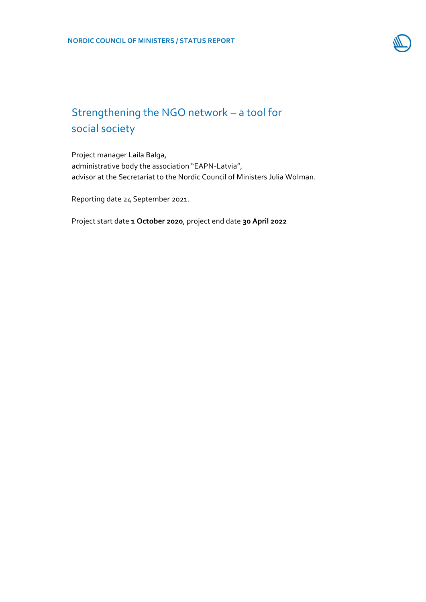

## Strengthening the NGO network – a tool for social society

Project manager Laila Balga, administrative body the association "EAPN-Latvia", advisor at the Secretariat to the Nordic Council of Ministers Julia Wolman.

Reporting date 24 September 2021.

Project start date **1 October 2020**, project end date **30 April 2022**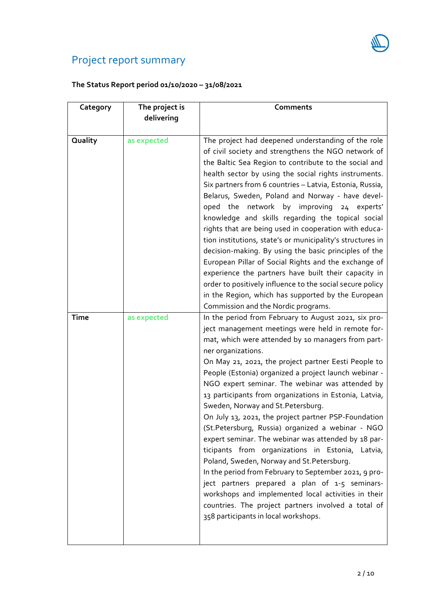# Project report summary

## **The Status Report period 01/10/2020 – 31/08/2021**

| Category    | The project is | Comments                                                                                                                                                                                                                                                                                                                                                                                                                                                                                                                                                                                                                                                                                                                                                                                                                                                                                                                                                                                         |
|-------------|----------------|--------------------------------------------------------------------------------------------------------------------------------------------------------------------------------------------------------------------------------------------------------------------------------------------------------------------------------------------------------------------------------------------------------------------------------------------------------------------------------------------------------------------------------------------------------------------------------------------------------------------------------------------------------------------------------------------------------------------------------------------------------------------------------------------------------------------------------------------------------------------------------------------------------------------------------------------------------------------------------------------------|
|             | delivering     |                                                                                                                                                                                                                                                                                                                                                                                                                                                                                                                                                                                                                                                                                                                                                                                                                                                                                                                                                                                                  |
|             |                |                                                                                                                                                                                                                                                                                                                                                                                                                                                                                                                                                                                                                                                                                                                                                                                                                                                                                                                                                                                                  |
| Quality     | as expected    | The project had deepened understanding of the role<br>of civil society and strengthens the NGO network of<br>the Baltic Sea Region to contribute to the social and<br>health sector by using the social rights instruments.<br>Six partners from 6 countries - Latvia, Estonia, Russia,<br>Belarus, Sweden, Poland and Norway - have devel-<br>oped the network by improving<br>24 experts'<br>knowledge and skills regarding the topical social<br>rights that are being used in cooperation with educa-<br>tion institutions, state's or municipality's structures in<br>decision-making. By using the basic principles of the<br>European Pillar of Social Rights and the exchange of<br>experience the partners have built their capacity in<br>order to positively influence to the social secure policy<br>in the Region, which has supported by the European<br>Commission and the Nordic programs.                                                                                       |
| <b>Time</b> | as expected    | In the period from February to August 2021, six pro-<br>ject management meetings were held in remote for-<br>mat, which were attended by 10 managers from part-<br>ner organizations.<br>On May 21, 2021, the project partner Eesti People to<br>People (Estonia) organized a project launch webinar -<br>NGO expert seminar. The webinar was attended by<br>13 participants from organizations in Estonia, Latvia,<br>Sweden, Norway and St. Petersburg.<br>On July 13, 2021, the project partner PSP-Foundation<br>(St.Petersburg, Russia) organized a webinar - NGO<br>expert seminar. The webinar was attended by 18 par-<br>ticipants from organizations in Estonia, Latvia,<br>Poland, Sweden, Norway and St. Petersburg.<br>In the period from February to September 2021, 9 pro-<br>ject partners prepared a plan of 1-5 seminars-<br>workshops and implemented local activities in their<br>countries. The project partners involved a total of<br>358 participants in local workshops. |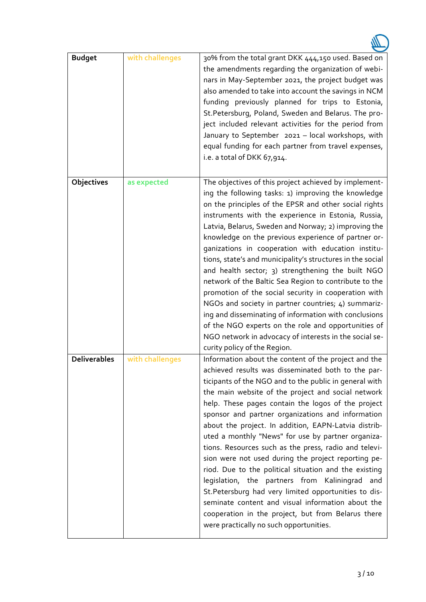| <b>Budget</b>       | with challenges | 30% from the total grant DKK 444,150 used. Based on<br>the amendments regarding the organization of webi-<br>nars in May-September 2021, the project budget was<br>also amended to take into account the savings in NCM<br>funding previously planned for trips to Estonia,<br>St. Petersburg, Poland, Sweden and Belarus. The pro-<br>ject included relevant activities for the period from<br>January to September 2021 - local workshops, with<br>equal funding for each partner from travel expenses,<br>i.e. a total of DKK 67,914.                                                                                                                                                                                                                                                                                                                                                               |
|---------------------|-----------------|--------------------------------------------------------------------------------------------------------------------------------------------------------------------------------------------------------------------------------------------------------------------------------------------------------------------------------------------------------------------------------------------------------------------------------------------------------------------------------------------------------------------------------------------------------------------------------------------------------------------------------------------------------------------------------------------------------------------------------------------------------------------------------------------------------------------------------------------------------------------------------------------------------|
| Objectives          | as expected     | The objectives of this project achieved by implement-<br>ing the following tasks: 1) improving the knowledge<br>on the principles of the EPSR and other social rights<br>instruments with the experience in Estonia, Russia,<br>Latvia, Belarus, Sweden and Norway; 2) improving the<br>knowledge on the previous experience of partner or-<br>ganizations in cooperation with education institu-<br>tions, state's and municipality's structures in the social<br>and health sector; 3) strengthening the built NGO<br>network of the Baltic Sea Region to contribute to the<br>promotion of the social security in cooperation with<br>NGOs and society in partner countries; 4) summariz-<br>ing and disseminating of information with conclusions<br>of the NGO experts on the role and opportunities of<br>NGO network in advocacy of interests in the social se-<br>curity policy of the Region. |
| <b>Deliverables</b> | with challenges | Information about the content of the project and the<br>achieved results was disseminated both to the par-<br>ticipants of the NGO and to the public in general with<br>the main website of the project and social network<br>help. These pages contain the logos of the project<br>sponsor and partner organizations and information<br>about the project. In addition, EAPN-Latvia distrib-<br>uted a monthly "News" for use by partner organiza-<br>tions. Resources such as the press, radio and televi-<br>sion were not used during the project reporting pe-<br>riod. Due to the political situation and the existing<br>legislation, the partners from Kaliningrad and<br>St. Petersburg had very limited opportunities to dis-<br>seminate content and visual information about the<br>cooperation in the project, but from Belarus there<br>were practically no such opportunities.          |

W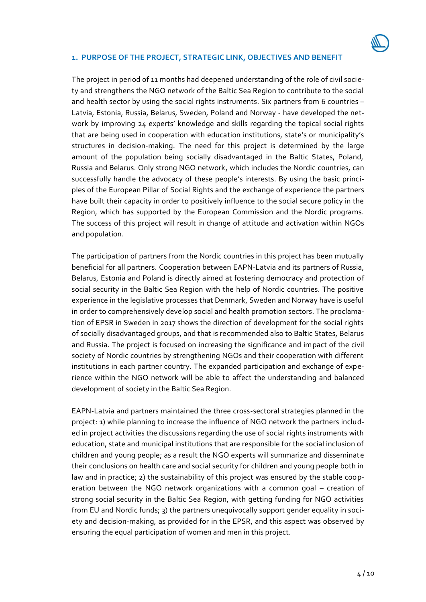#### **1. PURPOSE OF THE PROJECT, STRATEGIC LINK, OBJECTIVES AND BENEFIT**

The project in period of 11 months had deepened understanding of the role of civil society and strengthens the NGO network of the Baltic Sea Region to contribute to the social and health sector by using the social rights instruments. Six partners from 6 countries – Latvia, Estonia, Russia, Belarus, Sweden, Poland and Norway - have developed the network by improving 24 experts' knowledge and skills regarding the topical social rights that are being used in cooperation with education institutions, state's or municipality's structures in decision-making. The need for this project is determined by the large amount of the population being socially disadvantaged in the Baltic States, Poland, Russia and Belarus. Only strong NGO network, which includes the Nordic countries, can successfully handle the advocacy of these people's interests. By using the basic principles of the European Pillar of Social Rights and the exchange of experience the partners have built their capacity in order to positively influence to the social secure policy in the Region, which has supported by the European Commission and the Nordic programs. The success of this project will result in change of attitude and activation within NGOs and population.

The participation of partners from the Nordic countries in this project has been mutually beneficial for all partners. Cooperation between EAPN-Latvia and its partners of Russia, Belarus, Estonia and Poland is directly aimed at fostering democracy and protection of social security in the Baltic Sea Region with the help of Nordic countries. The positive experience in the legislative processes that Denmark, Sweden and Norway have is useful in order to comprehensively develop social and health promotion sectors. The proclamation of EPSR in Sweden in 2017 shows the direction of development for the social rights of socially disadvantaged groups, and that is recommended also to Baltic States, Belarus and Russia. The project is focused on increasing the significance and impact of the civil society of Nordic countries by strengthening NGOs and their cooperation with different institutions in each partner country. The expanded participation and exchange of experience within the NGO network will be able to affect the understanding and balanced development of society in the Baltic Sea Region.

EAPN-Latvia and partners maintained the three cross-sectoral strategies planned in the project: 1) while planning to increase the influence of NGO network the partners included in project activities the discussions regarding the use of social rights instruments with education, state and municipal institutions that are responsible for the social inclusion of children and young people; as a result the NGO experts will summarize and disseminate their conclusions on health care and social security for children and young people both in law and in practice; 2) the sustainability of this project was ensured by the stable cooperation between the NGO network organizations with a common goal – creation of strong social security in the Baltic Sea Region, with getting funding for NGO activities from EU and Nordic funds; 3) the partners unequivocally support gender equality in society and decision-making, as provided for in the EPSR, and this aspect was observed by ensuring the equal participation of women and men in this project.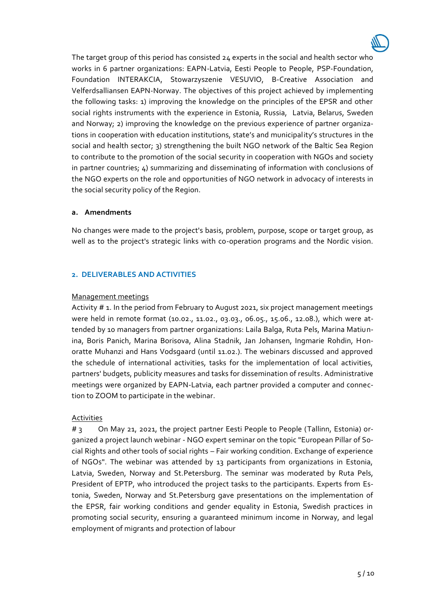The target group of this period has consisted 24 experts in the social and health sector who works in 6 partner organizations: EAPN-Latvia, Eesti People to People, PSP-Foundation, Foundation INTERAKCIA, Stowarzyszenie VESUVIO, B-Creative Association and Velferdsalliansen EAPN-Norway. The objectives of this project achieved by implementing the following tasks: 1) improving the knowledge on the principles of the EPSR and other social rights instruments with the experience in Estonia, Russia, Latvia, Belarus, Sweden and Norway; 2) improving the knowledge on the previous experience of partner organizations in cooperation with education institutions, state's and municipality's structures in the social and health sector; 3) strengthening the built NGO network of the Baltic Sea Region to contribute to the promotion of the social security in cooperation with NGOs and society in partner countries; 4) summarizing and disseminating of information with conclusions of the NGO experts on the role and opportunities of NGO network in advocacy of interests in the social security policy of the Region.

#### **a. Amendments**

No changes were made to the project's basis, problem, purpose, scope or target group, as well as to the project's strategic links with co-operation programs and the Nordic vision.

#### **2. DELIVERABLES AND ACTIVITIES**

#### Management meetings

Activity # 1. In the period from February to August 2021, six project management meetings were held in remote format (10.02., 11.02., 03.03., 06.05., 15.06., 12.08.), which were attended by 10 managers from partner organizations: Laila Balga, Ruta Pels, Marina Matiunina, Boris Panich, Marina Borisova, Alina Stadnik, Jan Johansen, Ingmarie Rohdin, Honoratte Muhanzi and Hans Vodsgaard (until 11.02.). The webinars discussed and approved the schedule of international activities, tasks for the implementation of local activities, partners' budgets, publicity measures and tasks for dissemination of results. Administrative meetings were organized by EAPN-Latvia, each partner provided a computer and connection to ZOOM to participate in the webinar.

#### Activities

# 3 On May 21, 2021, the project partner Eesti People to People (Tallinn, Estonia) organized a project launch webinar - NGO expert seminar on the topic "European Pillar of Social Rights and other tools of social rights – Fair working condition. Exchange of experience of NGOs". The webinar was attended by 13 participants from organizations in Estonia, Latvia, Sweden, Norway and St.Petersburg. The seminar was moderated by Ruta Pels, President of EPTP, who introduced the project tasks to the participants. Experts from Estonia, Sweden, Norway and St.Petersburg gave presentations on the implementation of the EPSR, fair working conditions and gender equality in Estonia, Swedish practices in promoting social security, ensuring a guaranteed minimum income in Norway, and legal employment of migrants and protection of labour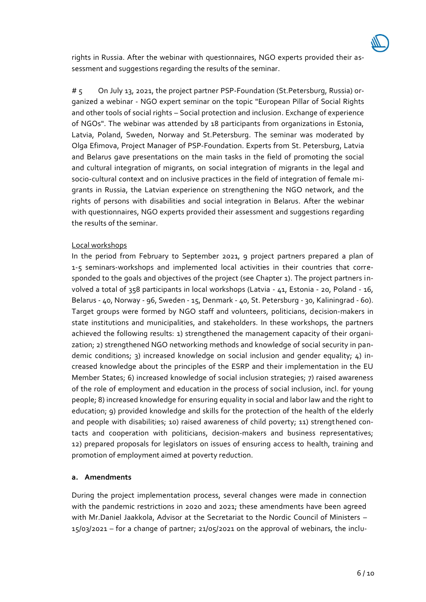

rights in Russia. After the webinar with questionnaires, NGO experts provided their assessment and suggestions regarding the results of the seminar.

# 5 On July 13, 2021, the project partner PSP-Foundation (St.Petersburg, Russia) organized a webinar - NGO expert seminar on the topic "European Pillar of Social Rights and other tools of social rights – Social protection and inclusion. Exchange of experience of NGOs". The webinar was attended by 18 participants from organizations in Estonia, Latvia, Poland, Sweden, Norway and St.Petersburg. The seminar was moderated by Olga Efimova, Project Manager of PSP-Foundation. Experts from St. Petersburg, Latvia and Belarus gave presentations on the main tasks in the field of promoting the social and cultural integration of migrants, on social integration of migrants in the legal and socio-cultural context and on inclusive practices in the field of integration of female migrants in Russia, the Latvian experience on strengthening the NGO network, and the rights of persons with disabilities and social integration in Belarus. After the webinar with questionnaires, NGO experts provided their assessment and suggestions regarding the results of the seminar.

#### Local workshops

In the period from February to September 2021, 9 project partners prepared a plan of 1-5 seminars-workshops and implemented local activities in their countries that corresponded to the goals and objectives of the project (see Chapter 1). The project partners involved a total of 358 participants in local workshops (Latvia - 41, Estonia - 20, Poland - 16, Belarus - 40, Norway - 96, Sweden - 15, Denmark - 40, St. Petersburg - 30, Kaliningrad - 60). Target groups were formed by NGO staff and volunteers, politicians, decision-makers in state institutions and municipalities, and stakeholders. In these workshops, the partners achieved the following results: 1) strengthened the management capacity of their organization; 2) strengthened NGO networking methods and knowledge of social security in pandemic conditions; 3) increased knowledge on social inclusion and gender equality; 4) increased knowledge about the principles of the ESRP and their implementation in the EU Member States; 6) increased knowledge of social inclusion strategies; 7) raised awareness of the role of employment and education in the process of social inclusion, incl. for young people; 8) increased knowledge for ensuring equality in social and labor law and the right to education; 9) provided knowledge and skills for the protection of the health of the elderly and people with disabilities; 10) raised awareness of child poverty; 11) strengthened contacts and cooperation with politicians, decision-makers and business representatives; 12) prepared proposals for legislators on issues of ensuring access to health, training and promotion of employment aimed at poverty reduction.

#### **a. Amendments**

During the project implementation process, several changes were made in connection with the pandemic restrictions in 2020 and 2021; these amendments have been agreed with Mr.Daniel Jaakkola, Advisor at the Secretariat to the Nordic Council of Ministers – 15/03/2021 – for a change of partner; 21/05/2021 on the approval of webinars, the inclu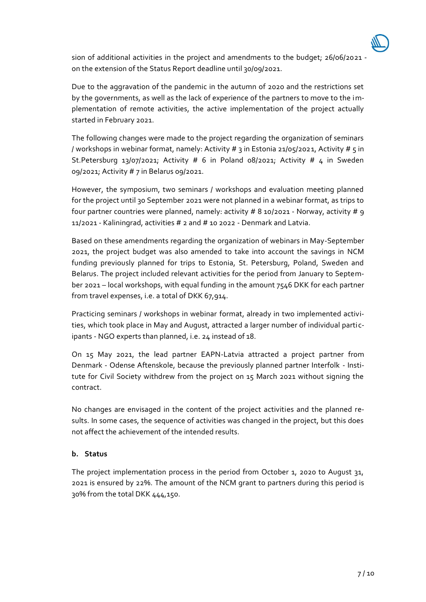sion of additional activities in the project and amendments to the budget; 26/06/2021 on the extension of the Status Report deadline until 30/09/2021.

Due to the aggravation of the pandemic in the autumn of 2020 and the restrictions set by the governments, as well as the lack of experience of the partners to move to the implementation of remote activities, the active implementation of the project actually started in February 2021.

The following changes were made to the project regarding the organization of seminars / workshops in webinar format, namely: Activity # 3 in Estonia 21/05/2021, Activity # 5 in St.Petersburg 13/07/2021; Activity # 6 in Poland 08/2021; Activity # 4 in Sweden 09/2021; Activity # 7 in Belarus 09/2021.

However, the symposium, two seminars / workshops and evaluation meeting planned for the project until 30 September 2021 were not planned in a webinar format, as trips to four partner countries were planned, namely: activity # 8 10/2021 - Norway, activity # 9 11/2021 - Kaliningrad, activities # 2 and # 10 2022 - Denmark and Latvia.

Based on these amendments regarding the organization of webinars in May-September 2021, the project budget was also amended to take into account the savings in NCM funding previously planned for trips to Estonia, St. Petersburg, Poland, Sweden and Belarus. The project included relevant activities for the period from January to September 2021 – local workshops, with equal funding in the amount 7546 DKK for each partner from travel expenses, i.e. a total of DKK 67,914.

Practicing seminars / workshops in webinar format, already in two implemented activities, which took place in May and August, attracted a larger number of individual participants - NGO experts than planned, i.e. 24 instead of 18.

On 15 May 2021, the lead partner EAPN-Latvia attracted a project partner from Denmark - Odense Aftenskole, because the previously planned partner Interfolk - Institute for Civil Society withdrew from the project on 15 March 2021 without signing the contract.

No changes are envisaged in the content of the project activities and the planned results. In some cases, the sequence of activities was changed in the project, but this does not affect the achievement of the intended results.

#### **b. Status**

The project implementation process in the period from October 1, 2020 to August 31, 2021 is ensured by 22%. The amount of the NCM grant to partners during this period is 30% from the total DKK 444,150.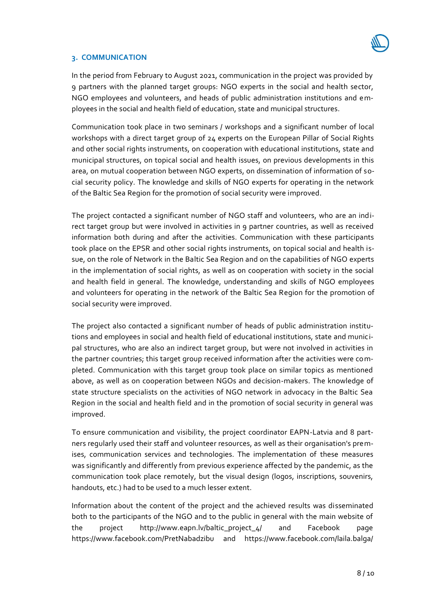#### **3. COMMUNICATION**

In the period from February to August 2021, communication in the project was provided by 9 partners with the planned target groups: NGO experts in the social and health sector, NGO employees and volunteers, and heads of public administration institutions and employees in the social and health field of education, state and municipal structures.

Communication took place in two seminars / workshops and a significant number of local workshops with a direct target group of 24 experts on the European Pillar of Social Rights and other social rights instruments, on cooperation with educational institutions, state and municipal structures, on topical social and health issues, on previous developments in this area, on mutual cooperation between NGO experts, on dissemination of information of social security policy. The knowledge and skills of NGO experts for operating in the network of the Baltic Sea Region for the promotion of social security were improved.

The project contacted a significant number of NGO staff and volunteers, who are an indirect target group but were involved in activities in 9 partner countries, as well as received information both during and after the activities. Communication with these participants took place on the EPSR and other social rights instruments, on topical social and health issue, on the role of Network in the Baltic Sea Region and on the capabilities of NGO experts in the implementation of social rights, as well as on cooperation with society in the social and health field in general. The knowledge, understanding and skills of NGO employees and volunteers for operating in the network of the Baltic Sea Region for the promotion of social security were improved.

The project also contacted a significant number of heads of public administration institutions and employees in social and health field of educational institutions, state and municipal structures, who are also an indirect target group, but were not involved in activities in the partner countries; this target group received information after the activities were completed. Communication with this target group took place on similar topics as mentioned above, as well as on cooperation between NGOs and decision-makers. The knowledge of state structure specialists on the activities of NGO network in advocacy in the Baltic Sea Region in the social and health field and in the promotion of social security in general was improved.

To ensure communication and visibility, the project coordinator EAPN-Latvia and 8 partners regularly used their staff and volunteer resources, as well as their organisation's premises, communication services and technologies. The implementation of these measures was significantly and differently from previous experience affected by the pandemic, as the communication took place remotely, but the visual design (logos, inscriptions, souvenirs, handouts, etc.) had to be used to a much lesser extent.

Information about the content of the project and the achieved results was disseminated both to the participants of the NGO and to the public in general with the main website of the project http://www.eapn.lv/baltic\_project\_4/ and Facebook page <https://www.facebook.com/PretNabadzibu> and <https://www.facebook.com/laila.balga/>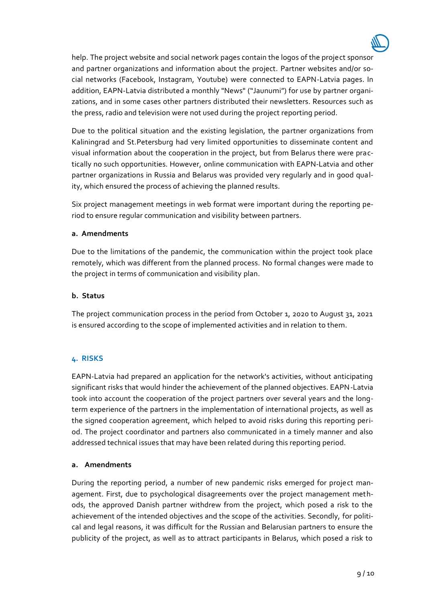help. The project website and social network pages contain the logos of the project sponsor and partner organizations and information about the project. Partner websites and/or social networks (Facebook, Instagram, Youtube) were connected to EAPN-Latvia pages. In addition, EAPN-Latvia distributed a monthly "News" ("Jaunumi") for use by partner organizations, and in some cases other partners distributed their newsletters. Resources such as the press, radio and television were not used during the project reporting period.

Due to the political situation and the existing legislation, the partner organizations from Kaliningrad and St.Petersburg had very limited opportunities to disseminate content and visual information about the cooperation in the project, but from Belarus there were practically no such opportunities. However, online communication with EAPN-Latvia and other partner organizations in Russia and Belarus was provided very regularly and in good quality, which ensured the process of achieving the planned results.

Six project management meetings in web format were important during the reporting period to ensure regular communication and visibility between partners.

#### **a. Amendments**

Due to the limitations of the pandemic, the communication within the project took place remotely, which was different from the planned process. No formal changes were made to the project in terms of communication and visibility plan.

#### **b. Status**

The project communication process in the period from October 1, 2020 to August 31, 2021 is ensured according to the scope of implemented activities and in relation to them.

### **4. RISKS**

EAPN-Latvia had prepared an application for the network's activities, without anticipating significant risks that would hinder the achievement of the planned objectives. EAPN-Latvia took into account the cooperation of the project partners over several years and the longterm experience of the partners in the implementation of international projects, as well as the signed cooperation agreement, which helped to avoid risks during this reporting period. The project coordinator and partners also communicated in a timely manner and also addressed technical issues that may have been related during this reporting period.

#### **a. Amendments**

During the reporting period, a number of new pandemic risks emerged for project management. First, due to psychological disagreements over the project management methods, the approved Danish partner withdrew from the project, which posed a risk to the achievement of the intended objectives and the scope of the activities. Secondly, for political and legal reasons, it was difficult for the Russian and Belarusian partners to ensure the publicity of the project, as well as to attract participants in Belarus, which posed a risk to